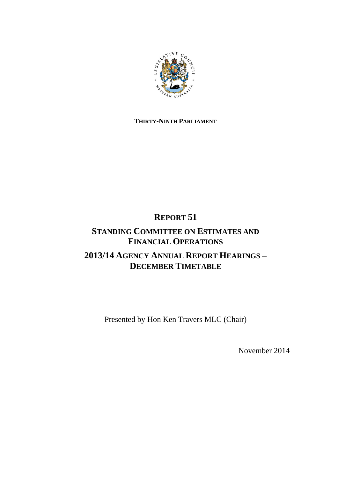

## **THIRTY-NINTH PARLIAMENT**

# **REPORT 51**

## **STANDING COMMITTEE ON ESTIMATES AND FINANCIAL OPERATIONS 2013/14 AGENCY ANNUAL REPORT HEARINGS – DECEMBER TIMETABLE**

Presented by Hon Ken Travers MLC (Chair)

November 2014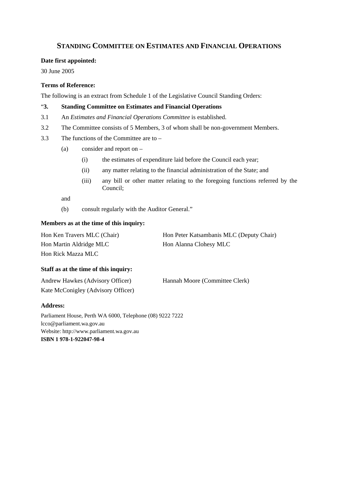### **STANDING COMMITTEE ON ESTIMATES AND FINANCIAL OPERATIONS**

#### **Date first appointed:**

30 June 2005

#### **Terms of Reference:**

The following is an extract from Schedule 1 of the Legislative Council Standing Orders:

#### "**3. Standing Committee on Estimates and Financial Operations**

- 3.1 An *Estimates and Financial Operations Committee* is established.
- 3.2 The Committee consists of 5 Members, 3 of whom shall be non-government Members.
- 3.3 The functions of the Committee are to
	- (a) consider and report on
		- (i) the estimates of expenditure laid before the Council each year;
		- (ii) any matter relating to the financial administration of the State; and
		- (iii) any bill or other matter relating to the foregoing functions referred by the Council;

and

(b) consult regularly with the Auditor General."

#### **Members as at the time of this inquiry:**

| Hon Ken Travers MLC (Chair) | Hon Peter Katsambanis MLC (Deputy Chair) |
|-----------------------------|------------------------------------------|
| Hon Martin Aldridge MLC     | Hon Alanna Clohesy MLC                   |
| Hon Rick Mazza MLC          |                                          |

#### **Staff as at the time of this inquiry:**

| Andrew Hawkes (Advisory Officer)   | Hannah Moore (Committee Clerk) |
|------------------------------------|--------------------------------|
| Kate McConigley (Advisory Officer) |                                |

#### **Address:**

Parliament House, Perth WA 6000, Telephone (08) 9222 7222 lcco@parliament.wa.gov.au Website: http://www.parliament.wa.gov.au **ISBN 1 978-1-922047-98-4**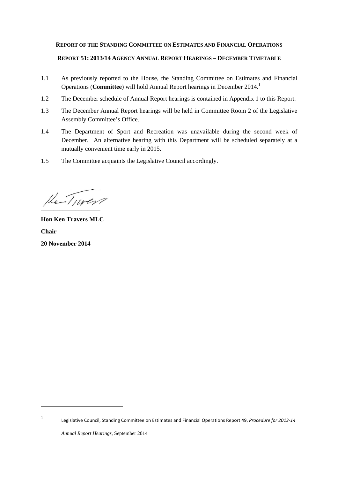#### **REPORT OF THE STANDING COMMITTEE ON ESTIMATES AND FINANCIAL OPERATIONS**

#### **REPORT 51: 2013/14 AGENCY ANNUAL REPORT HEARINGS – DECEMBER TIMETABLE**

- 1.1 As previously reported to the House, the Standing Committee on Estimates and Financial Operations (**Committee**) will hold Annual Report hearings in December 2014.1
- 1.2 The December schedule of Annual Report hearings is contained in Appendix 1 to this Report.
- 1.3 The December Annual Report hearings will be held in Committee Room 2 of the Legislative Assembly Committee's Office.
- 1.4 The Department of Sport and Recreation was unavailable during the second week of December. An alternative hearing with this Department will be scheduled separately at a mutually convenient time early in 2015.
- 1.5 The Committee acquaints the Legislative Council accordingly.

 $He-Tnver$ 

**Hon Ken Travers MLC Chair 20 November 2014**

1 Legislative Council, Standing Committee on Estimates and Financial Operations Report 49, *Procedure for 2013‐14*

*Annual Report Hearings*, September 2014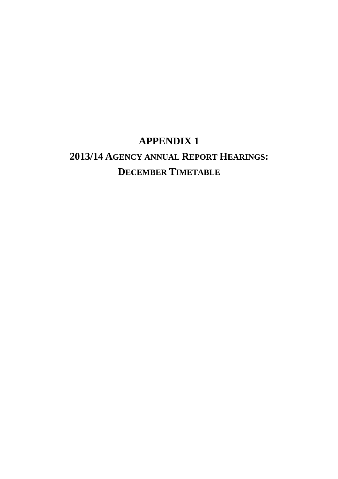# **APPENDIX 1 2013/14 AGENCY ANNUAL REPORT HEARINGS: DECEMBER TIMETABLE**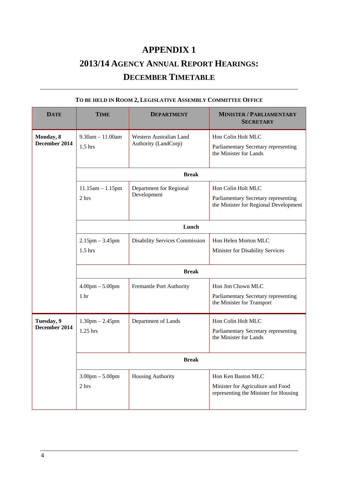# **APPENDIX 1 2013/14 AGENCY ANNUAL REPORT HEARINGS: DECEMBER TIMETABLE**

| <b>DATE</b>                 | <b>TIME</b>                                          | <b>DEPARTMENT</b>                               | <b>MINISTER / PARLIAMENTARY</b><br><b>SECRETARY</b>                                                 |  |
|-----------------------------|------------------------------------------------------|-------------------------------------------------|-----------------------------------------------------------------------------------------------------|--|
| Monday, 8<br>December 2014  | $9.30$ am $-11.00$ am<br>$1.5$ hrs                   | Western Australian Land<br>Authority (LandCorp) | Hon Colin Holt MLC<br>Parliamentary Secretary representing<br>the Minister for Lands                |  |
|                             | <b>Break</b>                                         |                                                 |                                                                                                     |  |
|                             | $11.15$ am $-1.15$ pm<br>2 hrs                       | Department for Regional<br>Development          | Hon Colin Holt MLC<br>Parliamentary Secretary representing<br>the Minister for Regional Development |  |
|                             | Lunch                                                |                                                 |                                                                                                     |  |
|                             | $2.15$ pm $-3.45$ pm<br>$1.5$ hrs                    | <b>Disability Services Commission</b>           | Hon Helen Morton MLC<br>Minister for Disability Services                                            |  |
|                             | <b>Break</b>                                         |                                                 |                                                                                                     |  |
|                             | $4.00 \text{pm} - 5.00 \text{pm}$<br>1 <sub>hr</sub> | Fremantle Port Authority                        | Hon Jim Chown MLC<br>Parliamentary Secretary representing<br>the Minister for Transport             |  |
| Tuesday, 9<br>December 2014 | $1.30$ pm $- 2.45$ pm<br>1.25 hrs                    | Department of Lands                             | Hon Colin Holt MLC<br>Parliamentary Secretary representing<br>the Minister for Lands                |  |
|                             | <b>Break</b>                                         |                                                 |                                                                                                     |  |
|                             | $3.00 \text{pm} - 5.00 \text{pm}$<br>2 hrs           | Housing Authority                               | Hon Ken Baston MLC<br>Minister for Agriculture and Food<br>representing the Minister for Housing    |  |

### **TO BE HELD IN ROOM 2, LEGISLATIVE ASSEMBLY COMMITTEE OFFICE**